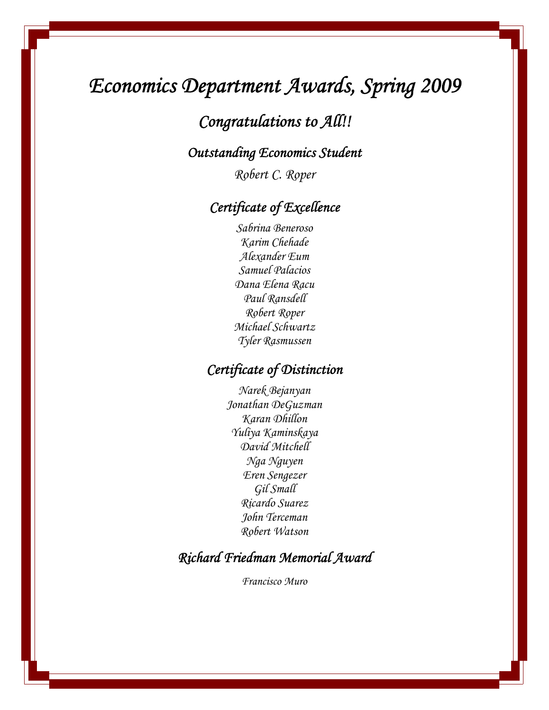# *Economics Department Awards, Spring 2009*

## *Congratulations to All!!*

### *Outstanding Economics Student*

*Robert C. Roper* 

## *Certificate of Excellence*

*Sabrina Beneroso Karim Chehade Alexander Eum Samuel Palacios Dana Elena Racu Paul Ransdell Robert Roper Michael Schwartz Tyler Rasmussen* 

### *Certificate of Distinction*

*Narek Bejanyan Jonathan DeGuzman Karan Dhillon Yuliya Kaminskaya David Mitchell Nga Nguyen Eren Sengezer Gil Small Ricardo Suarez John Terceman Robert Watson* 

## *Richard Friedman Memorial Award*

*Francisco Muro*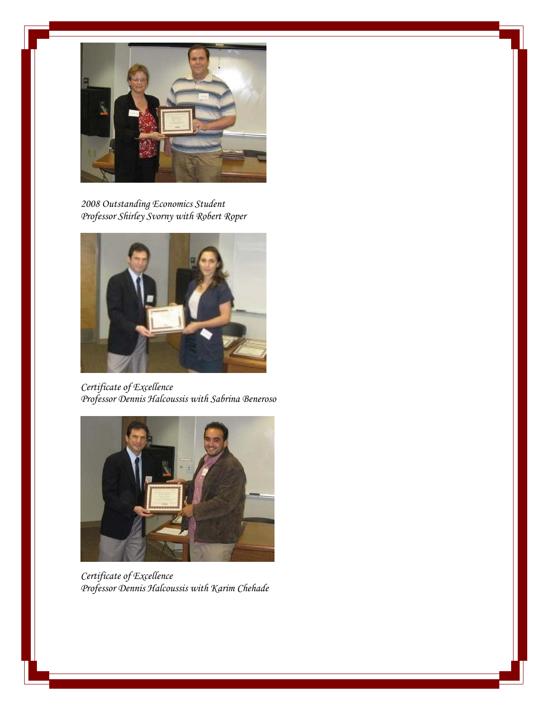

*2008 Outstanding Economics Student Professor Shirley Svorny with Robert Roper* 



*Certificate of Excellence Professor Dennis Halcoussis with Sabrina Beneroso* 



*Certificate of Excellence Professor Dennis Halcoussis with Karim Chehade*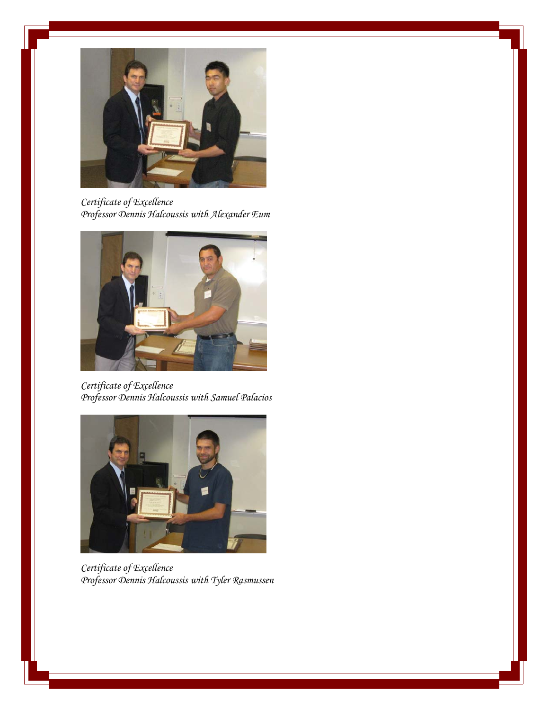

*Certificate of Excellence Professor Dennis Halcoussis with Alexander Eum* 



*Certificate of Excellence Professor Dennis Halcoussis with Samuel Palacios* 



*Certificate of Excellence Professor Dennis Halcoussis with Tyler Rasmussen*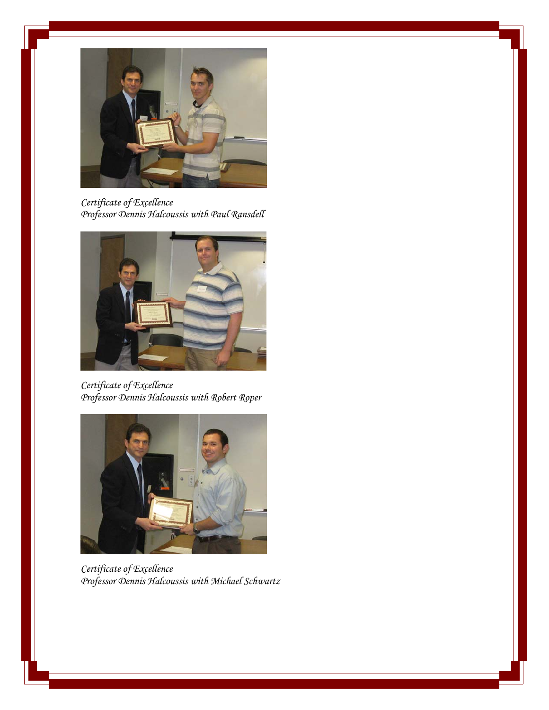

*Certificate of Excellence Professor Dennis Halcoussis with Paul Ransdell* 



*Certificate of Excellence Professor Dennis Halcoussis with Robert Roper*



*Certificate of Excellence Professor Dennis Halcoussis with Michael Schwartz*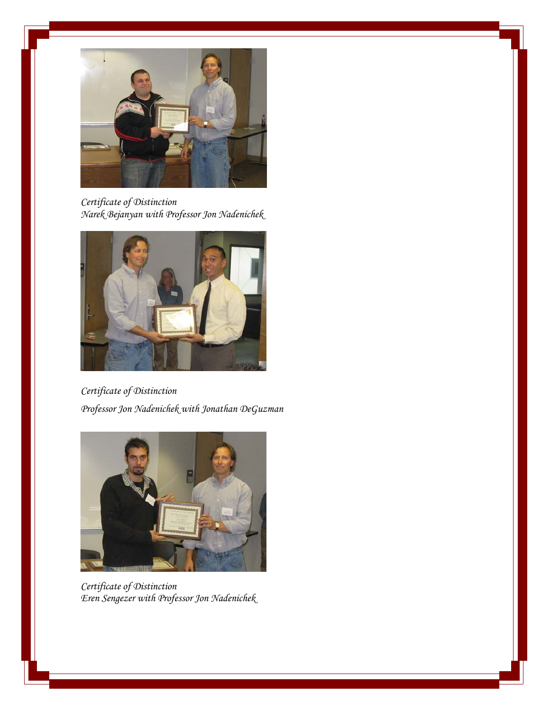

*Certificate of Distinction Narek Bejanyan with Professor Jon Nadenichek* 



*Certificate of Distinction Professor Jon Nadenichek with Jonathan DeGuzman*



*Certificate of Distinction Eren Sengezer with Professor Jon Nadenichek*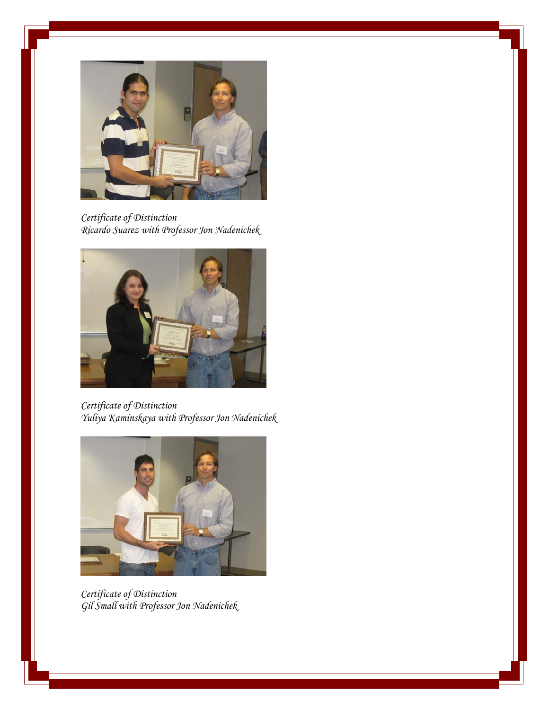

*Certificate of Distinction Ricardo Suarez with Professor Jon Nadenichek* 



*Certificate of Distinction Yuliya Kaminskaya with Professor Jon Nadenichek* 



*Certificate of Distinction Gil Small with Professor Jon Nadenichek*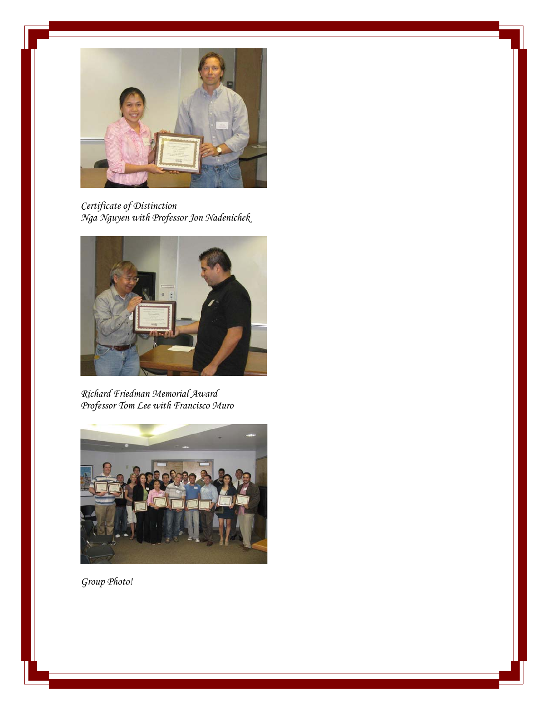

*Certificate of Distinction Nga Nguyen with Professor Jon Nadenichek* 



*Richard Friedman Memorial Award Professor Tom Lee with Francisco Muro* 



*Group Photo!*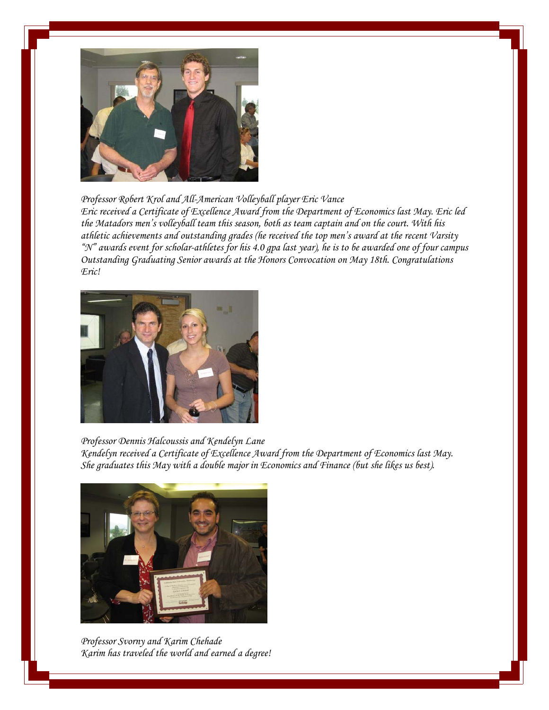

*Professor Robert Krol and All-American Volleyball player Eric Vance Eric received a Certificate of Excellence Award from the Department of Economics last May. Eric led the Matadors men's volleyball team this season, both as team captain and on the court. With his athletic achievements and outstanding grades (he received the top men's award at the recent Varsity "N" awards event for scholar-athletes for his 4.0 gpa last year), he is to be awarded one of four campus Outstanding Graduating Senior awards at the Honors Convocation on May 18th. Congratulations Eric!* 



*Professor Dennis Halcoussis and Kendelyn Lane Kendelyn received a Certificate of Excellence Award from the Department of Economics last May. She graduates this May with a double major in Economics and Finance (but she likes us best).* 



*Professor Svorny and Karim Chehade Karim has traveled the world and earned a degree!*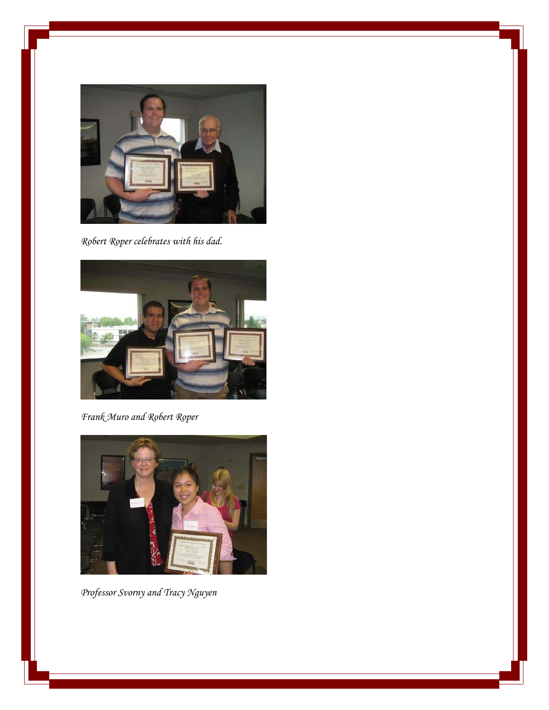

*Robert Roper celebrates with his dad.* 



*Frank Muro and Robert Roper* 



*Professor Svorny and Tracy Nguyen*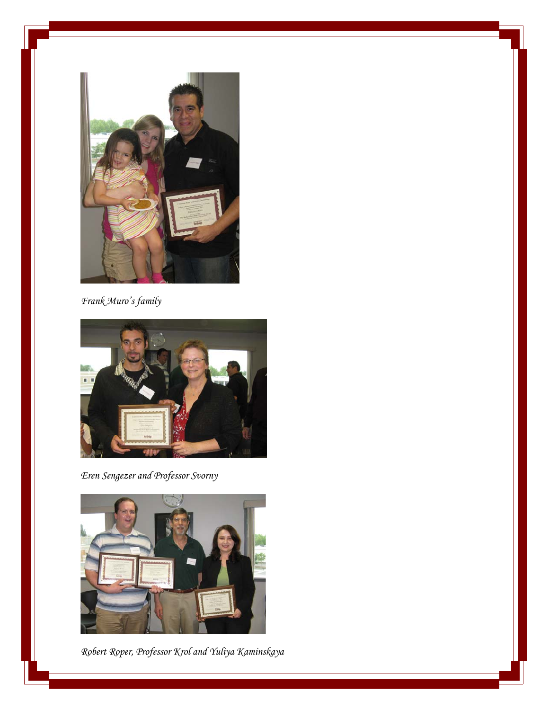

*Frank Muro's family* 



*Eren Sengezer and Professor Svorny* 



*Robert Roper, Professor Krol and Yuliya Kaminskaya*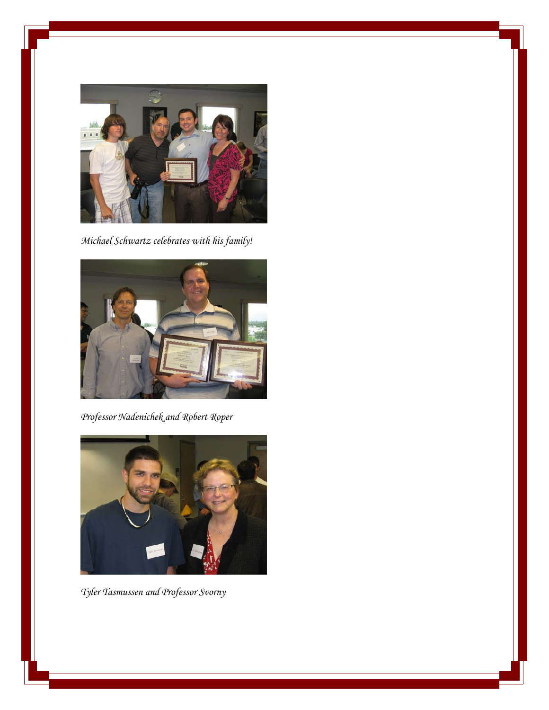

*Michael Schwartz celebrates with his family!* 



*Professor Nadenichek and Robert Roper* 



*Tyler Tasmussen and Professor Svorny*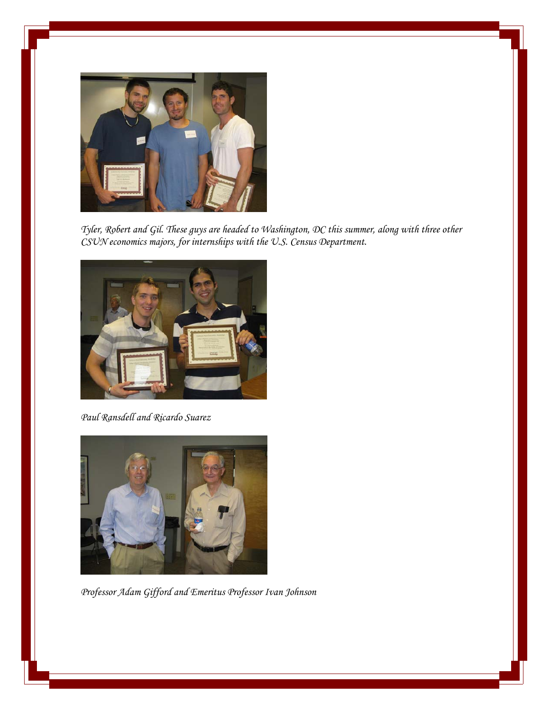

*Tyler, Robert and Gil. These guys are headed to Washington, DC this summer, along with three other CSUN economics majors, for internships with the U.S. Census Department.* 



*Paul Ransdell and Ricardo Suarez* 



*Professor Adam Gifford and Emeritus Professor Ivan Johnson*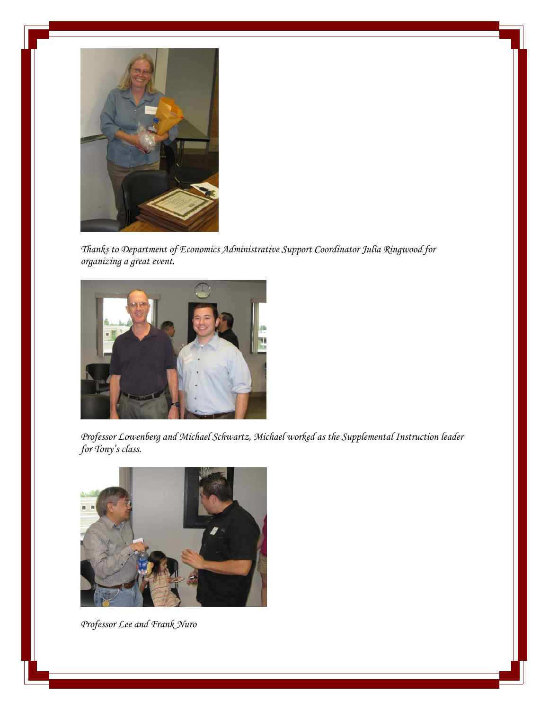

*Thanks to Department of Economics Administrative Support Coordinator Julia Ringwood for organizing a great event.* 



*Professor Lowenberg and Michael Schwartz, Michael worked as the Supplemental Instruction leader for Tony's class.* 



*Professor Lee and Frank Nuro*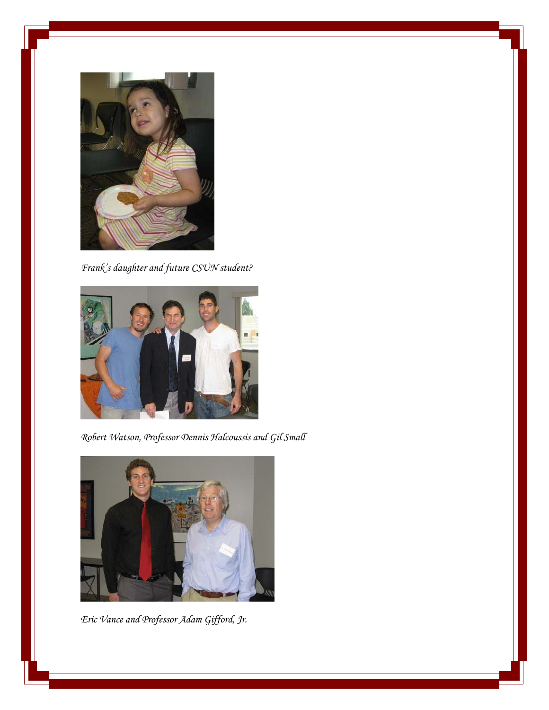

*Frank's daughter and future CSUN student?* 



*Robert Watson, Professor Dennis Halcoussis and Gil Small* 



*Eric Vance and Professor Adam Gifford, Jr.*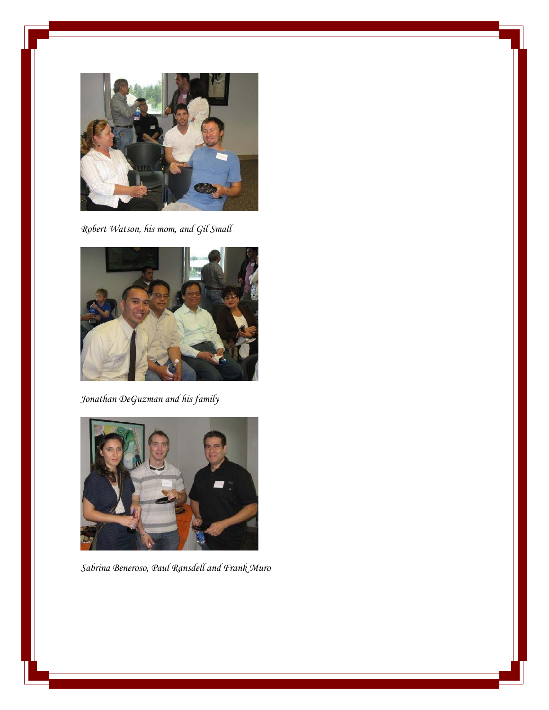

*Robert Watson, his mom, and Gil Small* 



*Jonathan DeGuzman and his family* 



*Sabrina Beneroso, Paul Ransdell and Frank Muro*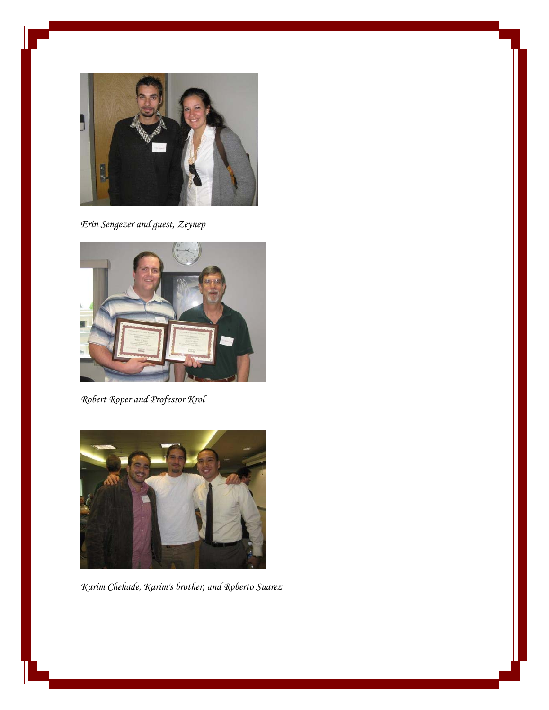

*Erin Sengezer and guest, Zeynep* 



*Robert Roper and Professor Krol* 



*Karim Chehade, Karim's brother, and Roberto Suarez*